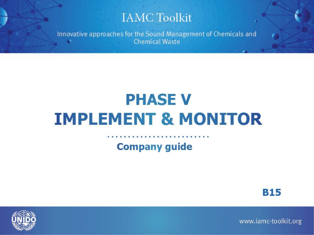#### **IAMC Toolkit**

Innovative approaches for the Sound Management of Chemicals and **Chemical Waste** 

## **PHASE V IMPLEMENT & MONITOR**

#### **Company guide**





www.iamc-toolkit.org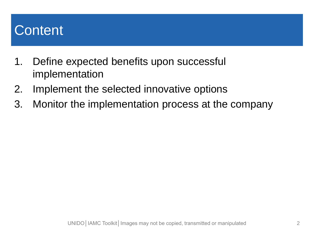### **Content**

- 1. Define expected benefits upon successful implementation
- 2. Implement the selected innovative options
- 3. Monitor the implementation process at the company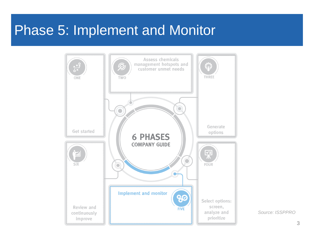#### Phase 5: Implement and Monitor



*Source: ISSPPRO*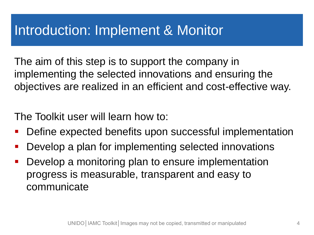### Introduction: Implement & Monitor

The aim of this step is to support the company in implementing the selected innovations and ensuring the objectives are realized in an efficient and cost-effective way.

The Toolkit user will learn how to:

- **Define expected benefits upon successful implementation**
- **-** Develop a plan for implementing selected innovations
- **Develop a monitoring plan to ensure implementation** progress is measurable, transparent and easy to communicate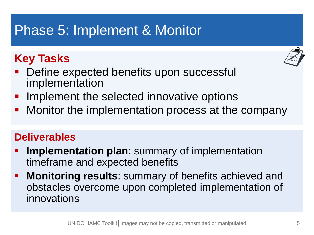## Phase 5: Implement & Monitor

#### **Key Tasks**



- Define expected benefits upon successful implementation
- Implement the selected innovative options
- Monitor the implementation process at the company

#### **Deliverables**

- **Implementation plan:** summary of implementation timeframe and expected benefits
- **Monitoring results**: summary of benefits achieved and obstacles overcome upon completed implementation of innovations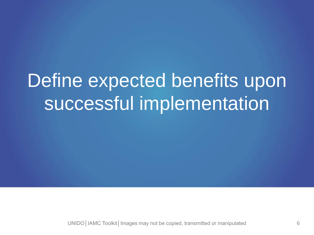# Define expected benefits upon successful implementation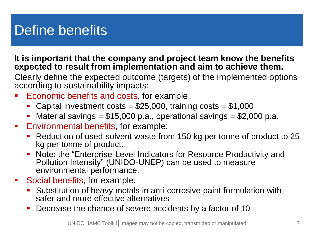## Define benefits

**It is important that the company and project team know the benefits expected to result from implementation and aim to achieve them.**

Clearly define the expected outcome (targets) of the implemented options according to sustainability impacts:

- Economic benefits and costs, for example:
	- Capital investment costs =  $$25,000$ , training costs =  $$1,000$
	- Material savings =  $$15,000$  p.a., operational savings =  $$2,000$  p.a.
- **Environmental benefits, for example:** 
	- Reduction of used-solvent waste from 150 kg per tonne of product to 25 kg per tonne of product.
	- Note: the "Enterprise-Level Indicators for Resource Productivity and Pollution Intensity" (UNIDO-UNEP) can be used to measure environmental performance.
- **Social benefits, for example:** 
	- **Substitution of heavy metals in anti-corrosive paint formulation with** safer and more effective alternatives
	- Decrease the chance of severe accidents by a factor of 10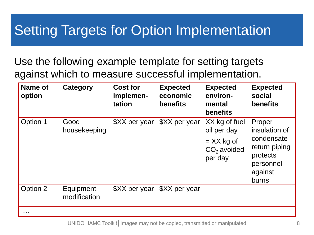## Setting Targets for Option Implementation

Use the following example template for setting targets against which to measure successful implementation.

| <b>Name of</b><br>option                                                                    | Category                  | <b>Cost for</b><br>implemen-<br>tation | <b>Expected</b><br>economic<br>benefits | <b>Expected</b><br>environ-<br>mental<br><b>benefits</b>                 | <b>Expected</b><br>social<br>benefits                                                               |
|---------------------------------------------------------------------------------------------|---------------------------|----------------------------------------|-----------------------------------------|--------------------------------------------------------------------------|-----------------------------------------------------------------------------------------------------|
| Option 1                                                                                    | Good<br>housekeeping      | \$XX per year                          | \$XX per year                           | XX kg of fuel<br>oil per day<br>$=$ XX kg of<br>$CO2$ avoided<br>per day | Proper<br>insulation of<br>condensate<br>return piping<br>protects<br>personnel<br>against<br>burns |
| Option 2                                                                                    | Equipment<br>modification | \$XX per year                          | \$XX per year                           |                                                                          |                                                                                                     |
| $\begin{array}{cccccccccccccc} \bullet & \bullet & \bullet & \bullet & \bullet \end{array}$ |                           |                                        |                                         |                                                                          |                                                                                                     |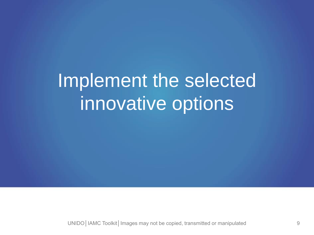# Implement the selected innovative options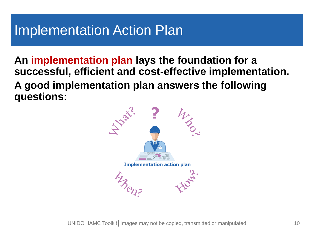### Implementation Action Plan

**An implementation plan lays the foundation for a successful, efficient and cost-effective implementation. A good implementation plan answers the following questions:** 

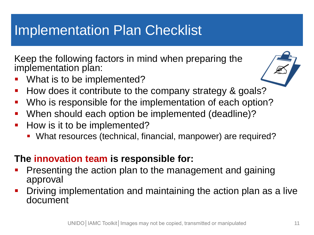## Implementation Plan Checklist

Keep the following factors in mind when preparing the implementation plan:

- What is to be implemented?
- How does it contribute to the company strategy & goals?
- **Who is responsible for the implementation of each option?**
- When should each option be implemented (deadline)?
- **How is it to be implemented?** 
	- What resources (technical, financial, manpower) are required?

#### **The innovation team is responsible for:**

- Presenting the action plan to the management and gaining approval
- Driving implementation and maintaining the action plan as a live document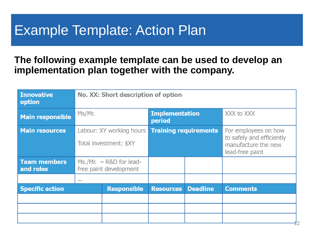### Example Template: Action Plan

#### **The following example template can be used to develop an implementation plan together with the company.**

| <b>Innovative</b><br>option      | No. XX: Short description of option                 |                                                    |                                 |                 |                                                                                             |  |  |  |
|----------------------------------|-----------------------------------------------------|----------------------------------------------------|---------------------------------|-----------------|---------------------------------------------------------------------------------------------|--|--|--|
| <b>Main responsible</b>          | Ms/Mr.                                              |                                                    | <b>Implementation</b><br>period |                 | XXX to XXX                                                                                  |  |  |  |
| <b>Main resources</b>            |                                                     | Labour: XY working hours<br>Total investment: \$XY | <b>Training requirements</b>    |                 | For employees on how<br>to safely and efficiently<br>manufacture the new<br>lead-free paint |  |  |  |
| <b>Team members</b><br>and roles | $Ms./Mr. - R&D$ for lead-<br>free paint development |                                                    |                                 |                 |                                                                                             |  |  |  |
|                                  | $\sim$ $\sim$ $\sim$                                |                                                    |                                 |                 |                                                                                             |  |  |  |
| <b>Specific action</b>           |                                                     | <b>Responsible</b>                                 | <b>Resources</b>                | <b>Deadline</b> | <b>Comments</b>                                                                             |  |  |  |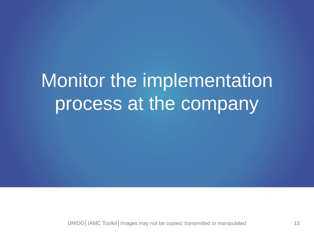# Monitor the implementation process at the company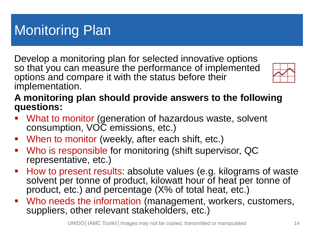Develop a monitoring plan for selected innovative options so that you can measure the performance of implemented options and compare it with the status before their implementation.



#### **A monitoring plan should provide answers to the following questions:**

- What to monitor (generation of hazardous waste, solvent consumption, VOC emissions, etc.)
- When to monitor (weekly, after each shift, etc.)
- Who is responsible for monitoring (shift supervisor, QC representative, etc.)
- How to present results: absolute values (e.g. kilograms of waste solvent per tonne of product, kilowatt hour of heat per tonne of product, etc.) and percentage (X% of total heat, etc.)
- Who needs the information (management, workers, customers, suppliers, other relevant stakeholders, etc.)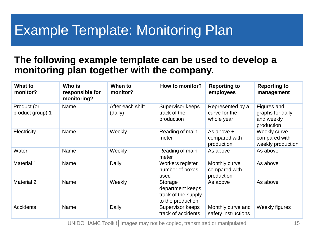## Example Template: Monitoring Plan

#### **The following example template can be used to develop a monitoring plan together with the company.**

| What to<br>monitor?             | Who is<br>responsible for<br>monitoring? | When to<br>monitor?         | How to monitor?                                                         | <b>Reporting to</b><br>employees                | <b>Reporting to</b><br>management                           |
|---------------------------------|------------------------------------------|-----------------------------|-------------------------------------------------------------------------|-------------------------------------------------|-------------------------------------------------------------|
| Product (or<br>product group) 1 | Name                                     | After each shift<br>(daily) | Supervisor keeps<br>track of the<br>production                          | Represented by a<br>curve for the<br>whole year | Figures and<br>graphs for daily<br>and weekly<br>production |
| Electricity                     | Name                                     | Weekly                      | Reading of main<br>meter                                                | As above +<br>compared with<br>production       | Weekly curve<br>compared with<br>weekly production          |
| Water                           | Name                                     | Weekly                      | Reading of main<br>meter                                                | As above                                        | As above                                                    |
| <b>Material 1</b>               | Name                                     | Daily                       | Workers register<br>number of boxes<br>used                             | Monthly curve<br>compared with<br>production    | As above                                                    |
| <b>Material 2</b>               | Name                                     | Weekly                      | Storage<br>department keeps<br>track of the supply<br>to the production | As above                                        | As above                                                    |
| Accidents                       | Name                                     | Daily                       | Supervisor keeps<br>track of accidents                                  | Monthly curve and<br>safety instructions        | Weekly figures                                              |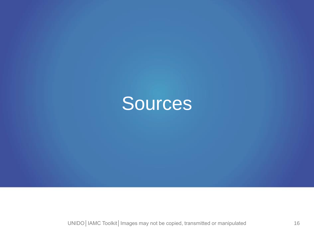# Sources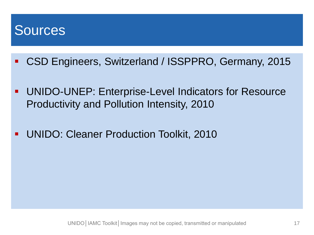#### Sources

- CSD Engineers, Switzerland / ISSPPRO, Germany, 2015
- Fusce posuere, magna sed pulvinar ultricies, productivity and Pollution Intensity, 2010 eros quis (ARIAL 32). UNIDO-UNEP: Enterprise-Level Indicators for Resource
- **UNIDO: Cleaner Production Toolkit, 2010**